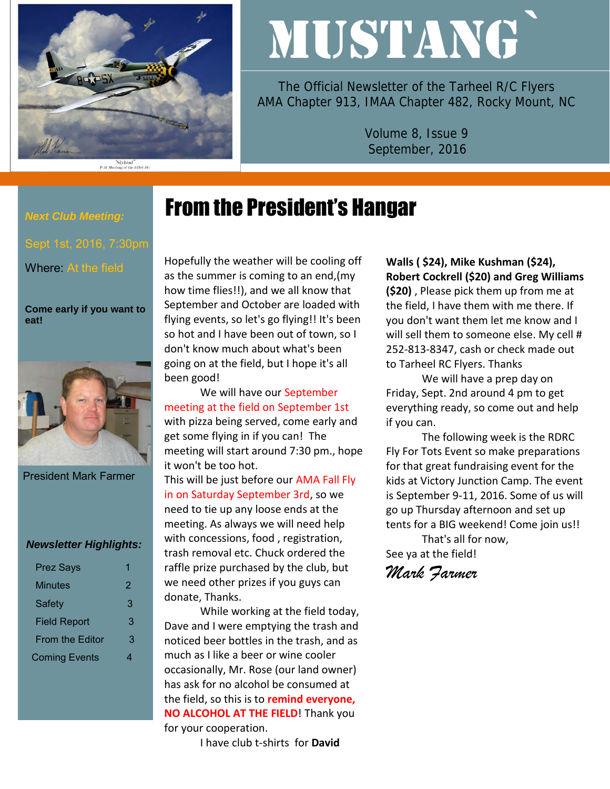

"Slybird"<br>P-51 Mustang of the 353rd FG

# MUSTANG`

The Official Newsletter of the Tarheel R/C Flyers AMA Chapter 913, IMAA Chapter 482, Rocky Mount, NC

> Volume 8, Issue 9 September, 2016

## From the President's Hangar

*Next Club Meeting:* 

Where: At the field

**Come early if you want to eat!** 



President Mark Farmer

#### *Newsletter Highlights:*

| <b>Prez Says</b>       |   |
|------------------------|---|
| Minutes                | 2 |
| Safety                 | 3 |
| <b>Field Report</b>    | 3 |
| <b>From the Editor</b> | 3 |
| <b>Coming Events</b>   | 4 |

Hopefully the weather will be cooling off as the summer is coming to an end,(my how time flies!!), and we all know that September and October are loaded with flying events, so let's go flying!! It's been so hot and I have been out of town, so I don't know much about what's been going on at the field, but I hope it's all been good!

We will have our September meeting at the field on September 1st with pizza being served, come early and get some flying in if you can! The meeting will start around 7:30 pm., hope it won't be too hot.

This will be just before our AMA Fall Fly in on Saturday September 3rd, so we need to tie up any loose ends at the meeting. As always we will need help with concessions, food , registration, trash removal etc. Chuck ordered the raffle prize purchased by the club, but we need other prizes if you guys can donate, Thanks.

While working at the field today, Dave and I were emptying the trash and noticed beer bottles in the trash, and as much as I like a beer or wine cooler occasionally, Mr. Rose (our land owner) has ask for no alcohol be consumed at the field, so this is to **remind everyone, NO ALCOHOL AT THE FIELD**! Thank you for your cooperation.

I have club t-shirts for **David** 

**Walls ( \$24), Mike Kushman (\$24), Robert Cockrell (\$20) and Greg Williams (\$20)** , Please pick them up from me at the field, I have them with me there. If you don't want them let me know and I will sell them to someone else. My cell # 252-813-8347, cash or check made out to Tarheel RC Flyers. Thanks

We will have a prep day on Friday, Sept. 2nd around 4 pm to get everything ready, so come out and help if you can.

The following week is the RDRC Fly For Tots Event so make preparations for that great fundraising event for the kids at Victory Junction Camp. The event is September 9-11, 2016. Some of us will go up Thursday afternoon and set up tents for a BIG weekend! Come join us!!

That's all for now, See ya at the field!

*Mark Farmer*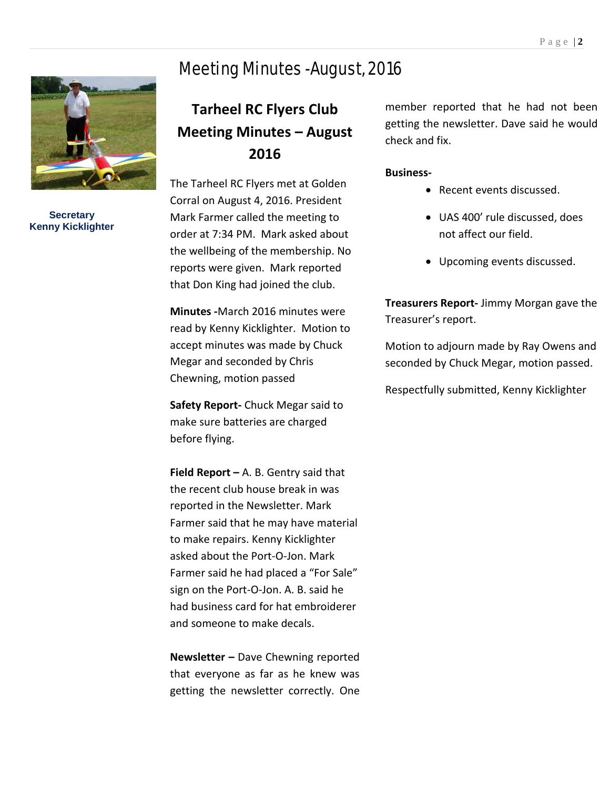## Meeting Minutes -August, 2016



**Secretary Kenny Kicklighter**

## **Tarheel RC Flyers Club Meeting Minutes – August 2016**

The Tarheel RC Flyers met at Golden Corral on August 4, 2016. President Mark Farmer called the meeting to order at 7:34 PM. Mark asked about the wellbeing of the membership. No reports were given. Mark reported that Don King had joined the club.

**Minutes -**March 2016 minutes were read by Kenny Kicklighter. Motion to accept minutes was made by Chuck Megar and seconded by Chris Chewning, motion passed

**Safety Report-** Chuck Megar said to make sure batteries are charged before flying.

**Field Report –** A. B. Gentry said that the recent club house break in was reported in the Newsletter. Mark Farmer said that he may have material to make repairs. Kenny Kicklighter asked about the Port-O-Jon. Mark Farmer said he had placed a "For Sale" sign on the Port-O-Jon. A. B. said he had business card for hat embroiderer and someone to make decals.

**Newsletter –** Dave Chewning reported that everyone as far as he knew was getting the newsletter correctly. One

member reported that he had not been getting the newsletter. Dave said he would check and fix.

#### **Business-**

- Recent events discussed.
- UAS 400' rule discussed, does not affect our field.
- Upcoming events discussed.

**Treasurers Report-** Jimmy Morgan gave the Treasurer's report.

Motion to adjourn made by Ray Owens and seconded by Chuck Megar, motion passed.

Respectfully submitted, Kenny Kicklighter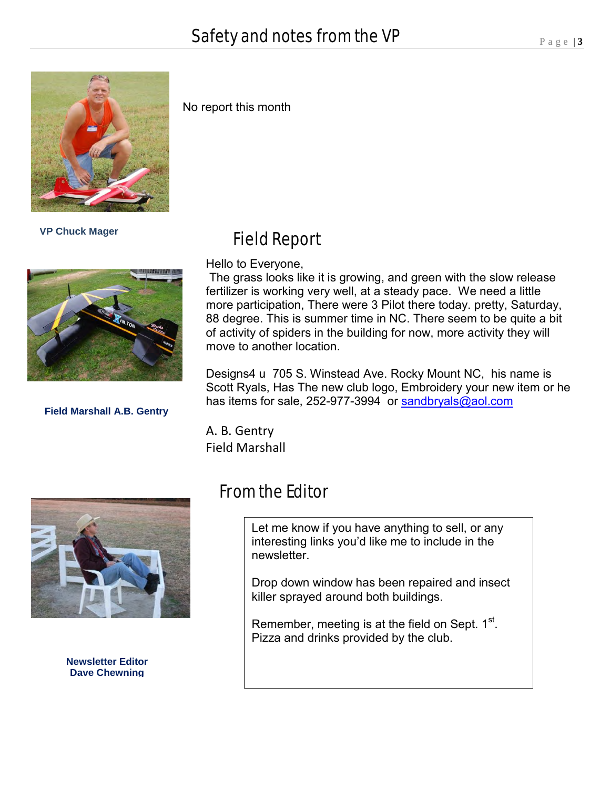

 **VP Chuck Mager** 



**Field Marshall A.B. Gentry**

#### No report this month

### Field Report

Hello to Everyone,

The grass looks like it is growing, and green with the slow release fertilizer is working very well, at a steady pace. We need a little more participation, There were 3 Pilot there today. pretty, Saturday, 88 degree. This is summer time in NC. There seem to be quite a bit of activity of spiders in the building for now, more activity they will move to another location.

Designs4 u 705 S. Winstead Ave. Rocky Mount NC, his name is Scott Ryals, Has The new club logo, Embroidery your new item or he has items for sale, 252-977-3994 or [sandbryals@aol.com](https://webmail.suddenlink.net/do/mail/message/mailto?to=sandbryals%40aol.com)

A. B. Gentry Field Marshall



**Newsletter Editor Dave Chewning**

## From the Editor

Let me know if you have anything to sell, or any interesting links you'd like me to include in the newsletter.

Drop down window has been repaired and insect killer sprayed around both buildings.

Remember, meeting is at the field on Sept.  $1^\text{st}$ . Pizza and drinks provided by the club.